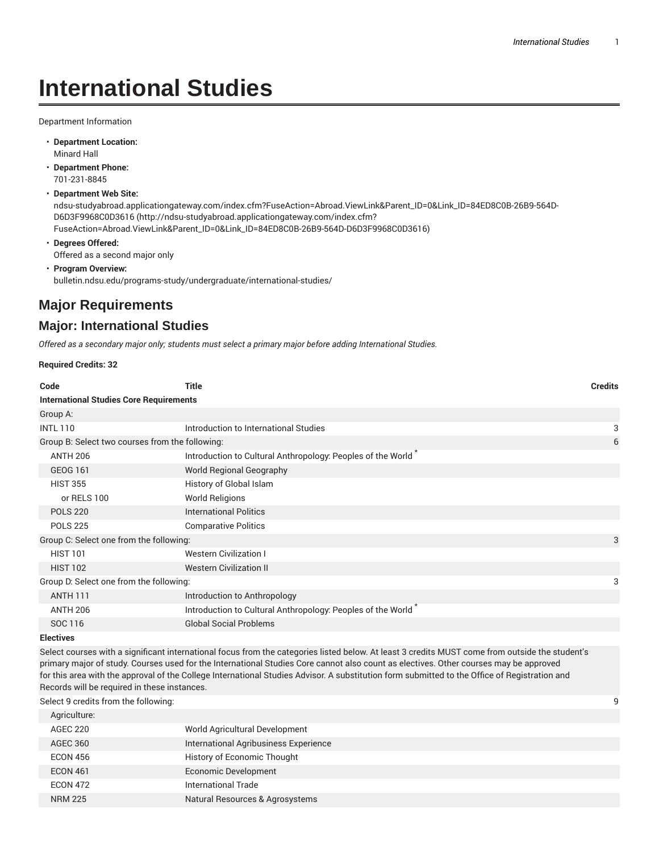# **International Studies**

Department Information

- **Department Location:** Minard Hall
- **Department Phone:** 701-231-8845
- **Department Web Site:**

ndsu-studyabroad.applicationgateway.com/index.cfm?FuseAction=Abroad.ViewLink&Parent\_ID=0&Link\_ID=84ED8C0B-26B9-564D-D6D3F9968C0D3616 (http://ndsu-studyabroad.applicationgateway.com/index.cfm? FuseAction=Abroad.ViewLink&Parent\_ID=0&Link\_ID=84ED8C0B-26B9-564D-D6D3F9968C0D3616)

- **Degrees Offered:** Offered as a second major only
- **Program Overview:** bulletin.ndsu.edu/programs-study/undergraduate/international-studies/

## **Major Requirements**

## **Major: International Studies**

*Offered as a secondary major only; students must select a primary major before adding International Studies.*

**Required Credits: 32**

| Code                                            | <b>Title</b>                                                                                                                                    | <b>Credits</b> |  |
|-------------------------------------------------|-------------------------------------------------------------------------------------------------------------------------------------------------|----------------|--|
| <b>International Studies Core Requirements</b>  |                                                                                                                                                 |                |  |
| Group A:                                        |                                                                                                                                                 |                |  |
| <b>INTL 110</b>                                 | Introduction to International Studies                                                                                                           | 3              |  |
| Group B: Select two courses from the following: |                                                                                                                                                 | 6              |  |
| <b>ANTH 206</b>                                 | Introduction to Cultural Anthropology: Peoples of the World <sup>*</sup>                                                                        |                |  |
| <b>GEOG 161</b>                                 | <b>World Regional Geography</b>                                                                                                                 |                |  |
| <b>HIST 355</b>                                 | History of Global Islam                                                                                                                         |                |  |
| or RELS 100                                     | <b>World Religions</b>                                                                                                                          |                |  |
| <b>POLS 220</b>                                 | <b>International Politics</b>                                                                                                                   |                |  |
| <b>POLS 225</b>                                 | <b>Comparative Politics</b>                                                                                                                     |                |  |
| Group C: Select one from the following:         |                                                                                                                                                 | 3              |  |
| <b>HIST 101</b>                                 | <b>Western Civilization I</b>                                                                                                                   |                |  |
| <b>HIST 102</b>                                 | <b>Western Civilization II</b>                                                                                                                  |                |  |
| Group D: Select one from the following:         |                                                                                                                                                 | 3              |  |
| <b>ANTH 111</b>                                 | Introduction to Anthropology                                                                                                                    |                |  |
| <b>ANTH 206</b>                                 | Introduction to Cultural Anthropology: Peoples of the World                                                                                     |                |  |
| SOC 116                                         | <b>Global Social Problems</b>                                                                                                                   |                |  |
| <b>Electives</b>                                |                                                                                                                                                 |                |  |
|                                                 | Select courses with a significant international focus from the categories listed below. At least 3 credits MUST come from outside the student's |                |  |

primary major of study. Courses used for the International Studies Core cannot also count as electives. Other courses may be approved for this area with the approval of the College International Studies Advisor. A substitution form submitted to the Office of Registration and Records will be required in these instances.

Select 9 credits from the following: 9

| Agriculture:    |                                       |
|-----------------|---------------------------------------|
| <b>AGEC 220</b> | World Agricultural Development        |
| <b>AGEC 360</b> | International Agribusiness Experience |
| <b>ECON 456</b> | History of Economic Thought           |
| <b>ECON 461</b> | <b>Economic Development</b>           |
| <b>ECON 472</b> | International Trade                   |
| <b>NRM 225</b>  | Natural Resources & Agrosystems       |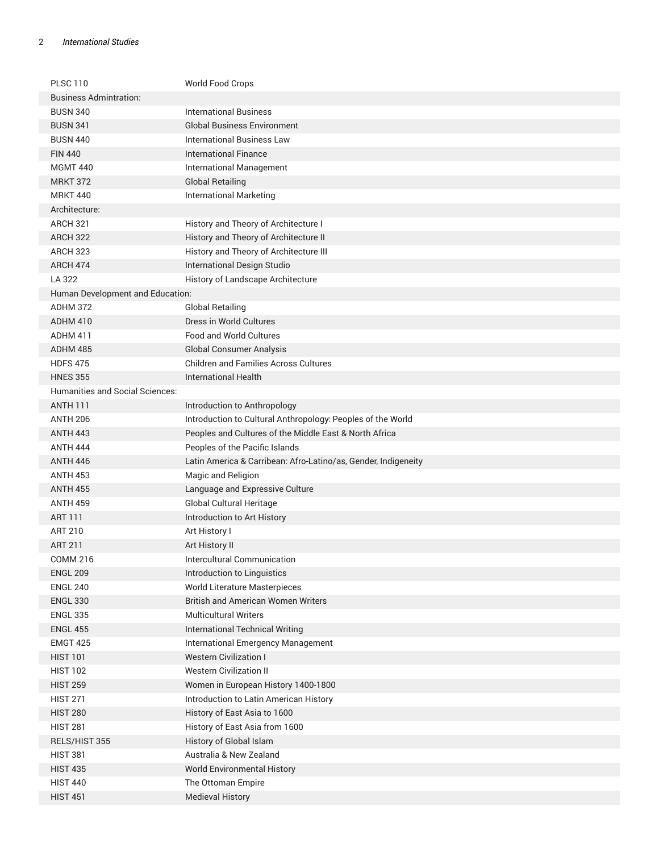#### 2 *International Studies*

| <b>PLSC 110</b>                  | World Food Crops                                               |
|----------------------------------|----------------------------------------------------------------|
| <b>Business Admintration:</b>    |                                                                |
| <b>BUSN 340</b>                  | <b>International Business</b>                                  |
| <b>BUSN 341</b>                  | <b>Global Business Environment</b>                             |
| <b>BUSN 440</b>                  | <b>International Business Law</b>                              |
| <b>FIN 440</b>                   | <b>International Finance</b>                                   |
| <b>MGMT 440</b>                  | International Management                                       |
| <b>MRKT 372</b>                  | <b>Global Retailing</b>                                        |
| <b>MRKT 440</b>                  | <b>International Marketing</b>                                 |
| Architecture:                    |                                                                |
| <b>ARCH 321</b>                  | History and Theory of Architecture I                           |
| <b>ARCH 322</b>                  | History and Theory of Architecture II                          |
| <b>ARCH 323</b>                  | History and Theory of Architecture III                         |
| ARCH 474                         | International Design Studio                                    |
| LA 322                           | History of Landscape Architecture                              |
| Human Development and Education: |                                                                |
| ADHM 372                         | <b>Global Retailing</b>                                        |
| ADHM 410                         | Dress in World Cultures                                        |
| ADHM 411                         | <b>Food and World Cultures</b>                                 |
| ADHM 485                         | <b>Global Consumer Analysis</b>                                |
| <b>HDFS 475</b>                  | <b>Children and Families Across Cultures</b>                   |
| <b>HNES 355</b>                  | <b>International Health</b>                                    |
| Humanities and Social Sciences:  |                                                                |
| <b>ANTH 111</b>                  | Introduction to Anthropology                                   |
| <b>ANTH 206</b>                  | Introduction to Cultural Anthropology: Peoples of the World    |
| <b>ANTH 443</b>                  | Peoples and Cultures of the Middle East & North Africa         |
| ANTH 444                         | Peoples of the Pacific Islands                                 |
| <b>ANTH 446</b>                  | Latin America & Carribean: Afro-Latino/as, Gender, Indigeneity |
| <b>ANTH 453</b>                  | Magic and Religion                                             |
| <b>ANTH 455</b>                  | Language and Expressive Culture                                |
| <b>ANTH 459</b>                  | Global Cultural Heritage                                       |
| <b>ART 111</b>                   | Introduction to Art History                                    |
| ART 210                          | Art History I                                                  |
| <b>ART 211</b>                   | Art History II                                                 |
| <b>COMM 216</b>                  | Intercultural Communication                                    |
| <b>ENGL 209</b>                  | Introduction to Linguistics                                    |
| <b>ENGL 240</b>                  | World Literature Masterpieces                                  |
| <b>ENGL 330</b>                  | <b>British and American Women Writers</b>                      |
| <b>ENGL 335</b>                  | <b>Multicultural Writers</b>                                   |
| <b>ENGL 455</b>                  | <b>International Technical Writing</b>                         |
| <b>EMGT 425</b>                  | International Emergency Management                             |
| <b>HIST 101</b>                  | <b>Western Civilization I</b>                                  |
| <b>HIST 102</b>                  | <b>Western Civilization II</b>                                 |
| <b>HIST 259</b>                  | Women in European History 1400-1800                            |
| <b>HIST 271</b>                  | Introduction to Latin American History                         |
| <b>HIST 280</b>                  | History of East Asia to 1600                                   |
| <b>HIST 281</b>                  | History of East Asia from 1600                                 |
| RELS/HIST 355                    | History of Global Islam                                        |
| <b>HIST 381</b>                  | Australia & New Zealand                                        |
| <b>HIST 435</b>                  | <b>World Environmental History</b>                             |
| <b>HIST 440</b>                  | The Ottoman Empire                                             |
| <b>HIST 451</b>                  | <b>Medieval History</b>                                        |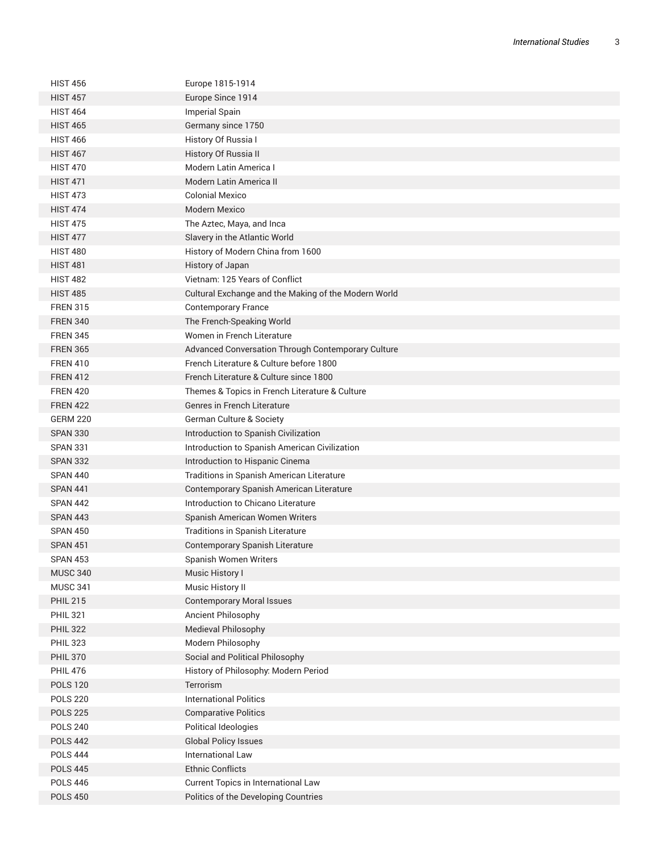| <b>HIST 456</b> | Europe 1815-1914                                     |
|-----------------|------------------------------------------------------|
| <b>HIST 457</b> | Europe Since 1914                                    |
| <b>HIST 464</b> | <b>Imperial Spain</b>                                |
| <b>HIST 465</b> | Germany since 1750                                   |
| <b>HIST 466</b> | History Of Russia I                                  |
| <b>HIST 467</b> | History Of Russia II                                 |
| <b>HIST 470</b> | Modern Latin America I                               |
| <b>HIST 471</b> | Modern Latin America II                              |
| <b>HIST 473</b> | <b>Colonial Mexico</b>                               |
| <b>HIST 474</b> | Modern Mexico                                        |
| <b>HIST 475</b> | The Aztec, Maya, and Inca                            |
| <b>HIST 477</b> | Slavery in the Atlantic World                        |
| <b>HIST 480</b> | History of Modern China from 1600                    |
| <b>HIST 481</b> | History of Japan                                     |
| <b>HIST 482</b> | Vietnam: 125 Years of Conflict                       |
| <b>HIST 485</b> | Cultural Exchange and the Making of the Modern World |
| <b>FREN 315</b> | <b>Contemporary France</b>                           |
| <b>FREN 340</b> | The French-Speaking World                            |
| <b>FREN 345</b> | Women in French Literature                           |
| <b>FREN 365</b> | Advanced Conversation Through Contemporary Culture   |
| <b>FREN 410</b> | French Literature & Culture before 1800              |
| <b>FREN 412</b> | French Literature & Culture since 1800               |
| <b>FREN 420</b> | Themes & Topics in French Literature & Culture       |
| <b>FREN 422</b> | Genres in French Literature                          |
| <b>GERM 220</b> | German Culture & Society                             |
| <b>SPAN 330</b> | Introduction to Spanish Civilization                 |
| <b>SPAN 331</b> | Introduction to Spanish American Civilization        |
| <b>SPAN 332</b> | Introduction to Hispanic Cinema                      |
| <b>SPAN 440</b> | Traditions in Spanish American Literature            |
| <b>SPAN 441</b> | Contemporary Spanish American Literature             |
| SPAN 442        | Introduction to Chicano Literature                   |
| <b>SPAN 443</b> | Spanish American Women Writers                       |
| <b>SPAN 450</b> | Traditions in Spanish Literature                     |
| <b>SPAN 451</b> | Contemporary Spanish Literature                      |
| <b>SPAN 453</b> | Spanish Women Writers                                |
| <b>MUSC 340</b> | Music History I                                      |
| <b>MUSC 341</b> | Music History II                                     |
| <b>PHIL 215</b> | <b>Contemporary Moral Issues</b>                     |
| <b>PHIL 321</b> | Ancient Philosophy                                   |
| <b>PHIL 322</b> | Medieval Philosophy                                  |
| <b>PHIL 323</b> | Modern Philosophy                                    |
| <b>PHIL 370</b> | Social and Political Philosophy                      |
| <b>PHIL 476</b> | History of Philosophy: Modern Period                 |
| <b>POLS 120</b> | Terrorism                                            |
| <b>POLS 220</b> | <b>International Politics</b>                        |
| <b>POLS 225</b> | <b>Comparative Politics</b>                          |
| <b>POLS 240</b> | Political Ideologies                                 |
| <b>POLS 442</b> | <b>Global Policy Issues</b>                          |
| <b>POLS 444</b> | <b>International Law</b>                             |
| <b>POLS 445</b> | <b>Ethnic Conflicts</b>                              |
| <b>POLS 446</b> | Current Topics in International Law                  |
| <b>POLS 450</b> | Politics of the Developing Countries                 |